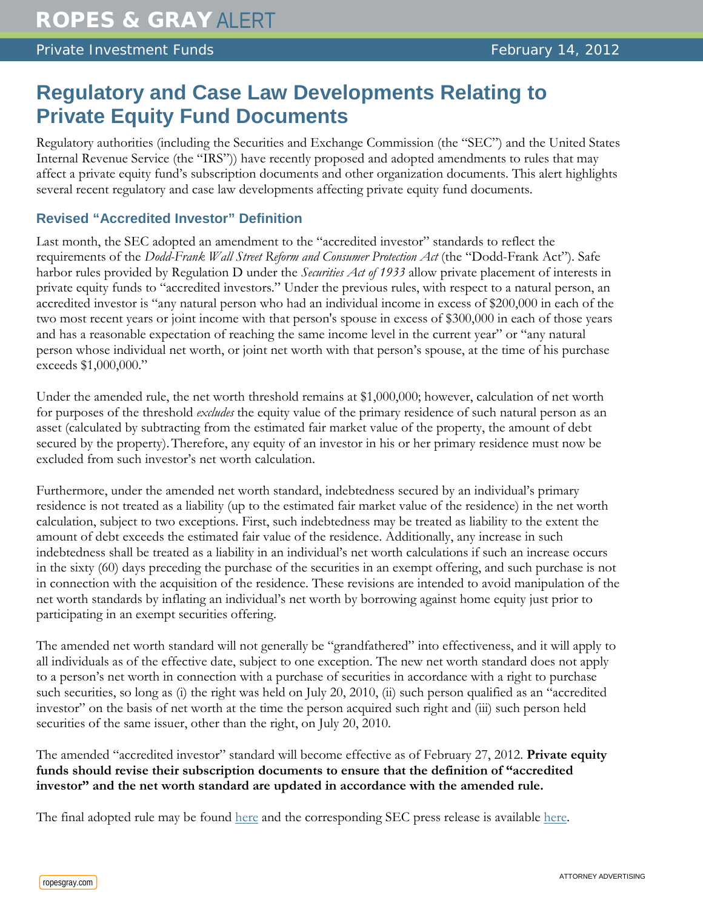# **Regulatory and Case Law Developments Relating to Private Equity Fund Documents**

Regulatory authorities (including the Securities and Exchange Commission (the "SEC") and the United States Internal Revenue Service (the "IRS")) have recently proposed and adopted amendments to rules that may affect a private equity fund's subscription documents and other organization documents. This alert highlights several recent regulatory and case law developments affecting private equity fund documents.

## **Revised "Accredited Investor" Definition**

Last month, the SEC adopted an amendment to the "accredited investor" standards to reflect the requirements of the *Dodd-Frank Wall Street Reform and Consumer Protection Act* (the "Dodd-Frank Act"). Safe harbor rules provided by Regulation D under the *Securities Act of 1933* allow private placement of interests in private equity funds to "accredited investors." Under the previous rules, with respect to a natural person, an accredited investor is "any natural person who had an individual income in excess of \$200,000 in each of the two most recent years or joint income with that person's spouse in excess of \$300,000 in each of those years and has a reasonable expectation of reaching the same income level in the current year" or "any natural person whose individual net worth, or joint net worth with that person's spouse, at the time of his purchase exceeds \$1,000,000."

Under the amended rule, the net worth threshold remains at \$1,000,000; however, calculation of net worth for purposes of the threshold *excludes* the equity value of the primary residence of such natural person as an asset (calculated by subtracting from the estimated fair market value of the property, the amount of debt secured by the property).Therefore, any equity of an investor in his or her primary residence must now be excluded from such investor's net worth calculation.

Furthermore, under the amended net worth standard, indebtedness secured by an individual's primary residence is not treated as a liability (up to the estimated fair market value of the residence) in the net worth calculation, subject to two exceptions. First, such indebtedness may be treated as liability to the extent the amount of debt exceeds the estimated fair value of the residence. Additionally, any increase in such indebtedness shall be treated as a liability in an individual's net worth calculations if such an increase occurs in the sixty (60) days preceding the purchase of the securities in an exempt offering, and such purchase is not in connection with the acquisition of the residence. These revisions are intended to avoid manipulation of the net worth standards by inflating an individual's net worth by borrowing against home equity just prior to participating in an exempt securities offering.

The amended net worth standard will not generally be "grandfathered" into effectiveness, and it will apply to all individuals as of the effective date, subject to one exception. The new net worth standard does not apply to a person's net worth in connection with a purchase of securities in accordance with a right to purchase such securities, so long as (i) the right was held on July 20, 2010, (ii) such person qualified as an "accredited investor" on the basis of net worth at the time the person acquired such right and (iii) such person held securities of the same issuer, other than the right, on July 20, 2010.

The amended "accredited investor" standard will become effective as of February 27, 2012. **Private equity funds should revise their subscription documents to ensure that the definition of "accredited investor" and the net worth standard are updated in accordance with the amended rule.** 

The final adopted rule may be found [here](http://www.sec.gov/rules/final/2011/33-9287.pdf) and the corresponding SEC press release is available [here.](http://www.sec.gov/news/press/2011/2011-274.htm)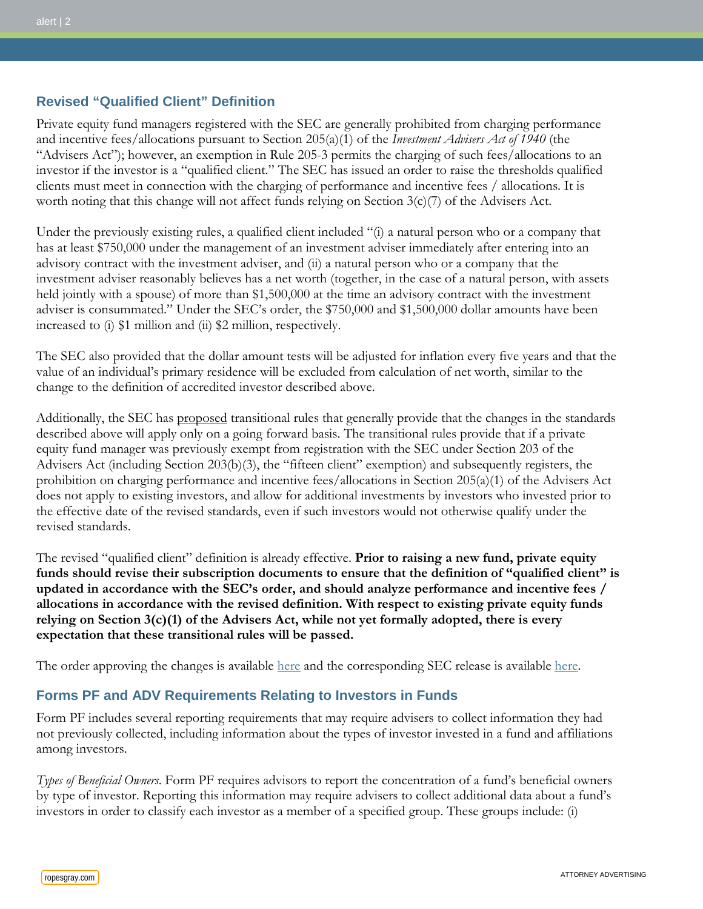## **Revised "Qualified Client" Definition**

Private equity fund managers registered with the SEC are generally prohibited from charging performance and incentive fees/allocations pursuant to Section 205(a)(1) of the *Investment Advisers Act of 1940* (the "Advisers Act"); however, an exemption in Rule 205-3 permits the charging of such fees/allocations to an investor if the investor is a "qualified client." The SEC has issued an order to raise the thresholds qualified clients must meet in connection with the charging of performance and incentive fees / allocations. It is worth noting that this change will not affect funds relying on Section 3(c)(7) of the Advisers Act.

Under the previously existing rules, a qualified client included "(i) a natural person who or a company that has at least \$750,000 under the management of an investment adviser immediately after entering into an advisory contract with the investment adviser, and (ii) a natural person who or a company that the investment adviser reasonably believes has a net worth (together, in the case of a natural person, with assets held jointly with a spouse) of more than \$1,500,000 at the time an advisory contract with the investment adviser is consummated." Under the SEC's order, the \$750,000 and \$1,500,000 dollar amounts have been increased to (i) \$1 million and (ii) \$2 million, respectively.

The SEC also provided that the dollar amount tests will be adjusted for inflation every five years and that the value of an individual's primary residence will be excluded from calculation of net worth, similar to the change to the definition of accredited investor described above.

Additionally, the SEC has proposed transitional rules that generally provide that the changes in the standards described above will apply only on a going forward basis. The transitional rules provide that if a private equity fund manager was previously exempt from registration with the SEC under Section 203 of the Advisers Act (including Section 203(b)(3), the "fifteen client" exemption) and subsequently registers, the prohibition on charging performance and incentive fees/allocations in Section 205(a)(1) of the Advisers Act does not apply to existing investors, and allow for additional investments by investors who invested prior to the effective date of the revised standards, even if such investors would not otherwise qualify under the revised standards.

The revised "qualified client" definition is already effective. **Prior to raising a new fund, private equity funds should revise their subscription documents to ensure that the definition of "qualified client" is updated in accordance with the SEC's order, and should analyze performance and incentive fees / allocations in accordance with the revised definition. With respect to existing private equity funds relying on Section 3(c)(1) of the Advisers Act, while not yet formally adopted, there is every expectation that these transitional rules will be passed.**

The order approving the changes is available [here](http://www.sec.gov/rules/other/2011/ia-3236.pdf) and the corresponding SEC release is available [here.](http://www.sec.gov/news/press/2011/2011-145.htm)

#### **Forms PF and ADV Requirements Relating to Investors in Funds**

Form PF includes several reporting requirements that may require advisers to collect information they had not previously collected, including information about the types of investor invested in a fund and affiliations among investors.

*Types of Beneficial Owners*. Form PF requires advisors to report the concentration of a fund's beneficial owners by type of investor. Reporting this information may require advisers to collect additional data about a fund's investors in order to classify each investor as a member of a specified group. These groups include: (i)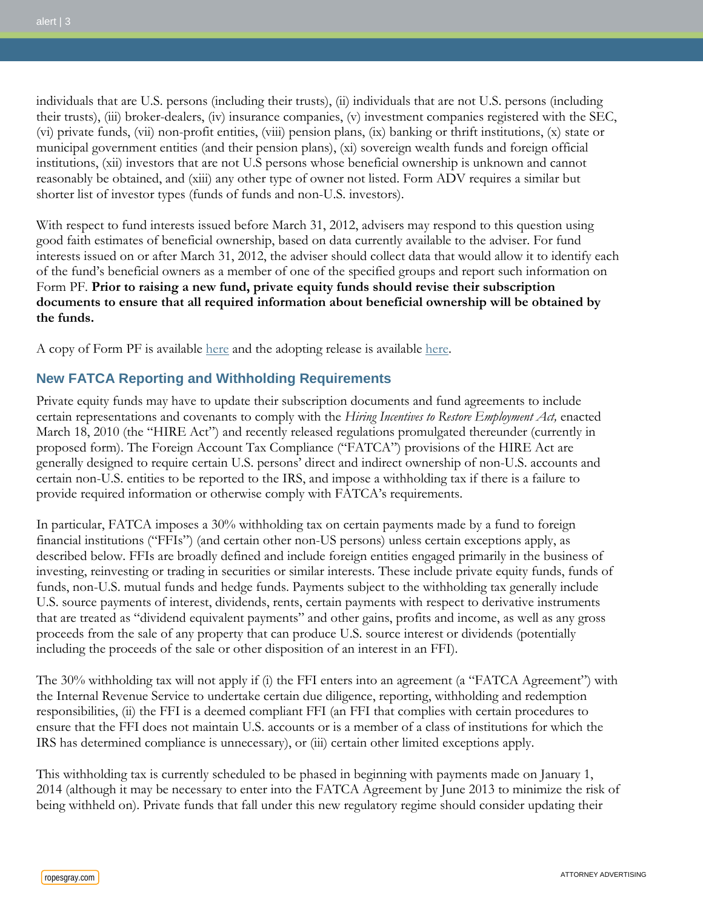individuals that are U.S. persons (including their trusts), (ii) individuals that are not U.S. persons (including their trusts), (iii) broker-dealers, (iv) insurance companies, (v) investment companies registered with the SEC, (vi) private funds, (vii) non-profit entities, (viii) pension plans, (ix) banking or thrift institutions, (x) state or municipal government entities (and their pension plans), (xi) sovereign wealth funds and foreign official institutions, (xii) investors that are not U.S persons whose beneficial ownership is unknown and cannot reasonably be obtained, and (xiii) any other type of owner not listed. Form ADV requires a similar but shorter list of investor types (funds of funds and non-U.S. investors).

With respect to fund interests issued before March 31, 2012, advisers may respond to this question using good faith estimates of beneficial ownership, based on data currently available to the adviser. For fund interests issued on or after March 31, 2012, the adviser should collect data that would allow it to identify each of the fund's beneficial owners as a member of one of the specified groups and report such information on Form PF. **Prior to raising a new fund, private equity funds should revise their subscription documents to ensure that all required information about beneficial ownership will be obtained by the funds.**

A copy of Form PF is available [here](http://www.sec.gov/rules/final/2011/ia-3308-formpf.pdf) and the adopting release is available [here.](http://www.sec.gov/rules/final/2011/ia-3308.pdf)

### **New FATCA Reporting and Withholding Requirements**

Private equity funds may have to update their subscription documents and fund agreements to include certain representations and covenants to comply with the *Hiring Incentives to Restore Employment Act,* enacted March 18, 2010 (the "HIRE Act") and recently released regulations promulgated thereunder (currently in proposed form). The Foreign Account Tax Compliance ("FATCA") provisions of the HIRE Act are generally designed to require certain U.S. persons' direct and indirect ownership of non-U.S. accounts and certain non-U.S. entities to be reported to the IRS, and impose a withholding tax if there is a failure to provide required information or otherwise comply with FATCA's requirements.

In particular, FATCA imposes a 30% withholding tax on certain payments made by a fund to foreign financial institutions ("FFIs") (and certain other non-US persons) unless certain exceptions apply, as described below. FFIs are broadly defined and include foreign entities engaged primarily in the business of investing, reinvesting or trading in securities or similar interests. These include private equity funds, funds of funds, non-U.S. mutual funds and hedge funds. Payments subject to the withholding tax generally include U.S. source payments of interest, dividends, rents, certain payments with respect to derivative instruments that are treated as "dividend equivalent payments" and other gains, profits and income, as well as any gross proceeds from the sale of any property that can produce U.S. source interest or dividends (potentially including the proceeds of the sale or other disposition of an interest in an FFI).

The 30% withholding tax will not apply if (i) the FFI enters into an agreement (a "FATCA Agreement") with the Internal Revenue Service to undertake certain due diligence, reporting, withholding and redemption responsibilities, (ii) the FFI is a deemed compliant FFI (an FFI that complies with certain procedures to ensure that the FFI does not maintain U.S. accounts or is a member of a class of institutions for which the IRS has determined compliance is unnecessary), or (iii) certain other limited exceptions apply.

This withholding tax is currently scheduled to be phased in beginning with payments made on January 1, 2014 (although it may be necessary to enter into the FATCA Agreement by June 2013 to minimize the risk of being withheld on). Private funds that fall under this new regulatory regime should consider updating their